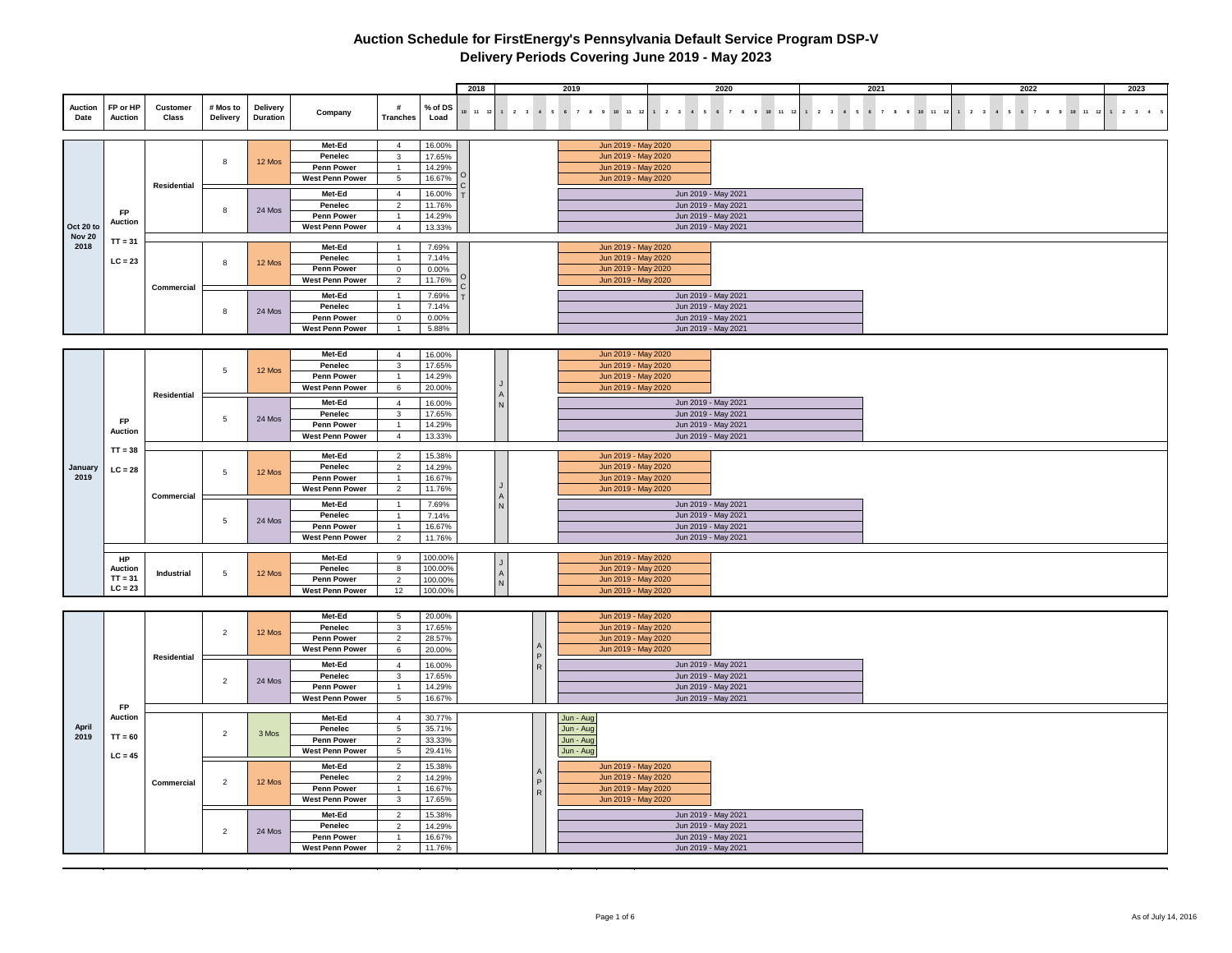|                 |                            |                   |                             |                      |                                      |                                  |                    | 2018             |             | 2019                                       |                                            | 2020                 | 2021                                                                                           | 2022                                                                           | 2023                |
|-----------------|----------------------------|-------------------|-----------------------------|----------------------|--------------------------------------|----------------------------------|--------------------|------------------|-------------|--------------------------------------------|--------------------------------------------|----------------------|------------------------------------------------------------------------------------------------|--------------------------------------------------------------------------------|---------------------|
| Auction<br>Date | FP or HP<br><b>Auction</b> | Customer<br>Class | # Mos to<br><b>Delivery</b> | Delivery<br>Duration | Company                              | #<br><b>Tranches</b>             | % of DS<br>Load    | $10 \t 11 \t 12$ | $2 \quad 3$ | 4 5 6 7 8 9<br>10 11 12                    | $2 \quad 3$                                | 4 5 6 7 8 9 10 11 12 | $1 \quad 2 \quad 3 \quad 4 \quad 5 \quad 6 \quad 7 \quad 8 \quad 9 \quad 10 \quad 11 \quad 12$ | $\begin{array}{cccccccc} 1 & 2 & 3 & 4 & 5 \end{array}$<br>6 7 8 9<br>10 11 12 | $2 \quad 3 \quad 4$ |
|                 |                            |                   |                             |                      |                                      |                                  |                    |                  |             |                                            |                                            |                      |                                                                                                |                                                                                |                     |
|                 |                            |                   |                             |                      | Met-Ed<br>Penelec                    | $\overline{4}$<br>$\mathbf{3}$   | 16.00%<br>17.65%   |                  |             | Jun 2019 - May 2020<br>Jun 2019 - May 2020 |                                            |                      |                                                                                                |                                                                                |                     |
|                 |                            |                   | 8                           | 12 Mos               | Penn Power                           | $\mathbf{1}$                     | 14.29%             |                  |             | Jun 2019 - May 2020                        |                                            |                      |                                                                                                |                                                                                |                     |
|                 |                            |                   |                             |                      | <b>West Penn Power</b>               | $\overline{5}$                   | 16.67%             |                  |             | Jun 2019 - May 2020                        |                                            |                      |                                                                                                |                                                                                |                     |
|                 |                            | Residential       |                             |                      |                                      |                                  |                    |                  |             |                                            |                                            |                      |                                                                                                |                                                                                |                     |
|                 |                            |                   |                             |                      | Met-Ed                               | $\overline{4}$                   | 16.00%             |                  |             |                                            | Jun 2019 - May 2021                        |                      |                                                                                                |                                                                                |                     |
|                 | <b>FP</b>                  |                   | 8                           | 24 Mos               | Penelec                              | $\mathbf{2}$                     | 11.76%             |                  |             |                                            | Jun 2019 - May 2021                        |                      |                                                                                                |                                                                                |                     |
| Oct 20 to       | Auction                    |                   |                             |                      | Penn Power<br><b>West Penn Power</b> | $\overline{1}$<br>$\overline{4}$ | 14.29%<br>13.33%   |                  |             |                                            | Jun 2019 - May 2021<br>Jun 2019 - May 2021 |                      |                                                                                                |                                                                                |                     |
| <b>Nov 20</b>   |                            |                   |                             |                      |                                      |                                  |                    |                  |             |                                            |                                            |                      |                                                                                                |                                                                                |                     |
| 2018            | $TT = 31$                  |                   |                             |                      | Met-Ed                               | $\overline{1}$                   | 7.69%              |                  |             | Jun 2019 - May 2020                        |                                            |                      |                                                                                                |                                                                                |                     |
|                 | $LC = 23$                  |                   |                             |                      | Penelec                              |                                  | 7.14%              |                  |             | Jun 2019 - May 2020                        |                                            |                      |                                                                                                |                                                                                |                     |
|                 |                            |                   | 8                           | 12 Mos               | Penn Power                           | $\mathsf 0$                      | 0.00%              |                  |             | Jun 2019 - May 2020                        |                                            |                      |                                                                                                |                                                                                |                     |
|                 |                            |                   |                             |                      | <b>West Penn Power</b>               | $\overline{2}$                   | 11.76%             |                  |             | Jun 2019 - May 2020                        |                                            |                      |                                                                                                |                                                                                |                     |
|                 |                            | Commercial        |                             |                      | Met-Ed                               | $\mathbf{1}$                     | 7.69%              |                  |             |                                            | Jun 2019 - May 2021                        |                      |                                                                                                |                                                                                |                     |
|                 |                            |                   |                             |                      | Penelec                              | $\mathbf{1}$                     | 7.14%              |                  |             |                                            | Jun 2019 - May 2021                        |                      |                                                                                                |                                                                                |                     |
|                 |                            |                   | 8                           | 24 Mos               | Penn Power                           | $\mathbf 0$                      | 0.00%              |                  |             |                                            | Jun 2019 - May 2021                        |                      |                                                                                                |                                                                                |                     |
|                 |                            |                   |                             |                      | West Penn Power                      | $\overline{1}$                   | 5.88%              |                  |             |                                            | Jun 2019 - May 2021                        |                      |                                                                                                |                                                                                |                     |
|                 |                            |                   |                             |                      |                                      |                                  |                    |                  |             |                                            |                                            |                      |                                                                                                |                                                                                |                     |
|                 |                            |                   |                             |                      | Met-Ed                               | $\overline{4}$                   | 16.00%             |                  |             | Jun 2019 - May 2020                        |                                            |                      |                                                                                                |                                                                                |                     |
|                 |                            |                   |                             |                      | Penelec                              | $\mathbf{3}$                     | 17.65%             |                  |             | Jun 2019 - May 2020                        |                                            |                      |                                                                                                |                                                                                |                     |
|                 |                            |                   | $5\phantom{.0}$             | 12 Mos               | Penn Power                           | $\mathbf{1}$                     | 14.29%             |                  |             | Jun 2019 - May 2020                        |                                            |                      |                                                                                                |                                                                                |                     |
|                 |                            |                   |                             |                      | <b>West Penn Power</b>               | $6\overline{6}$                  | 20.00%             |                  |             | Jun 2019 - May 2020                        |                                            |                      |                                                                                                |                                                                                |                     |
|                 |                            | Residential       |                             |                      | Met-Ed                               | $\overline{4}$                   |                    |                  |             |                                            |                                            |                      |                                                                                                |                                                                                |                     |
|                 |                            |                   |                             |                      |                                      | $\mathbf{3}$                     | 16.00%             |                  |             |                                            | Jun 2019 - May 2021<br>Jun 2019 - May 2021 |                      |                                                                                                |                                                                                |                     |
|                 | <b>FP</b>                  |                   | $5\phantom{.0}$             | 24 Mos               | Penelec<br>Penn Power                | $\mathbf{1}$                     | 17.65%<br>14.29%   |                  |             |                                            | Jun 2019 - May 2021                        |                      |                                                                                                |                                                                                |                     |
|                 | <b>Auction</b>             |                   |                             |                      | <b>West Penn Power</b>               | $\overline{4}$                   | 13.33%             |                  |             |                                            | Jun 2019 - May 2021                        |                      |                                                                                                |                                                                                |                     |
|                 |                            |                   |                             |                      |                                      |                                  |                    |                  |             |                                            |                                            |                      |                                                                                                |                                                                                |                     |
|                 | $TT = 38$                  |                   |                             |                      | Met-Ed                               | $\overline{2}$                   | 15.38%             |                  |             | Jun 2019 - May 2020                        |                                            |                      |                                                                                                |                                                                                |                     |
| January         | $LC = 28$                  |                   | 5                           | 12 Mos               | Penelec                              | $\overline{2}$                   | 14.29%             |                  |             | Jun 2019 - May 2020                        |                                            |                      |                                                                                                |                                                                                |                     |
| 2019            |                            |                   |                             |                      | <b>Penn Power</b>                    | $\overline{1}$                   | 16.67%             |                  |             | Jun 2019 - May 2020                        |                                            |                      |                                                                                                |                                                                                |                     |
|                 |                            | Commercial        |                             |                      | <b>West Penn Power</b>               | $\overline{2}$                   | 11.76%             |                  |             | Jun 2019 - May 2020                        |                                            |                      |                                                                                                |                                                                                |                     |
|                 |                            |                   |                             |                      | Met-Ed                               | $\mathbf{1}$                     | 7.69%              |                  |             |                                            |                                            | Jun 2019 - May 2021  |                                                                                                |                                                                                |                     |
|                 |                            |                   | 5                           | 24 Mos               | Penelec                              | $\mathbf{1}$                     | 7.14%              |                  |             |                                            | Jun 2019 - May 2021                        |                      |                                                                                                |                                                                                |                     |
|                 |                            |                   |                             |                      | <b>Penn Power</b>                    | $\overline{1}$                   | 16.67%             |                  |             |                                            | Jun 2019 - May 2021                        |                      |                                                                                                |                                                                                |                     |
|                 |                            |                   |                             |                      | <b>West Penn Power</b>               | $\overline{2}$                   | 11.76%             |                  |             |                                            | Jun 2019 - May 2021                        |                      |                                                                                                |                                                                                |                     |
|                 |                            |                   |                             |                      | Met-Ed                               |                                  |                    |                  |             | Jun 2019 - May 2020                        |                                            |                      |                                                                                                |                                                                                |                     |
|                 | HP<br><b>Auction</b>       |                   |                             |                      | Penelec                              | 9<br>8                           | 100.00%<br>100.00% |                  |             | Jun 2019 - May 2020                        |                                            |                      |                                                                                                |                                                                                |                     |
|                 | $TT = 31$                  | Industrial        | $5\phantom{.0}$             | 12 Mos               | <b>Penn Power</b>                    | $\overline{2}$                   | 100.00%            |                  |             | Jun 2019 - May 2020                        |                                            |                      |                                                                                                |                                                                                |                     |
|                 | $LC = 23$                  |                   |                             |                      | <b>West Penn Power</b>               | 12                               | 100.00%            |                  |             | Jun 2019 - May 2020                        |                                            |                      |                                                                                                |                                                                                |                     |
|                 |                            |                   |                             |                      |                                      |                                  |                    |                  |             |                                            |                                            |                      |                                                                                                |                                                                                |                     |
|                 |                            |                   |                             |                      | Met-Ed                               | $5\phantom{.0}$                  | 20.00%             |                  |             | Jun 2019 - May 2020                        |                                            |                      |                                                                                                |                                                                                |                     |
|                 |                            |                   |                             |                      | Penelec                              | $\overline{3}$                   | 17.65%             |                  |             | Jun 2019 - May 2020                        |                                            |                      |                                                                                                |                                                                                |                     |
|                 |                            |                   | $\overline{2}$              | 12 Mos               | Penn Power                           | $\overline{2}$                   | 28.57%             |                  |             | Jun 2019 - May 2020                        |                                            |                      |                                                                                                |                                                                                |                     |
|                 |                            |                   |                             |                      | <b>West Penn Power</b>               | 6                                | 20.00%             |                  |             | Jun 2019 - May 2020                        |                                            |                      |                                                                                                |                                                                                |                     |
|                 |                            | Residential       |                             |                      | Met-Ed                               | $\overline{4}$                   | 16.00%             |                  |             |                                            | Jun 2019 - May 2021                        |                      |                                                                                                |                                                                                |                     |
|                 |                            |                   |                             |                      | Penelec                              | 3                                | 17.65%             |                  |             |                                            | Jun 2019 - May 2021                        |                      |                                                                                                |                                                                                |                     |
|                 |                            |                   | $\overline{2}$              | 24 Mos               | <b>Penn Power</b>                    | $\mathbf{1}$                     | 14.29%             |                  |             |                                            | Jun 2019 - May 2021                        |                      |                                                                                                |                                                                                |                     |
|                 |                            |                   |                             |                      | <b>West Penn Power</b>               | $5\phantom{.0}$                  | 16.67%             |                  |             |                                            | Jun 2019 - May 2021                        |                      |                                                                                                |                                                                                |                     |
|                 | <b>FP</b>                  |                   |                             |                      |                                      |                                  |                    |                  |             |                                            |                                            |                      |                                                                                                |                                                                                |                     |
|                 | <b>Auction</b>             |                   |                             |                      | Met-Ed                               | $\overline{4}$                   | 30.77%             |                  |             | Jun - Aug                                  |                                            |                      |                                                                                                |                                                                                |                     |
| April           |                            |                   | $\overline{2}$              | 3 Mos                | Penelec                              | $\overline{5}$                   | 35.71%             |                  |             | Jun - Aug                                  |                                            |                      |                                                                                                |                                                                                |                     |
| 2019            | $TT = 60$                  |                   |                             |                      | <b>Penn Power</b>                    | $\overline{2}$                   | 33.33%             |                  |             | Jun - Aug                                  |                                            |                      |                                                                                                |                                                                                |                     |
|                 | $LC = 45$                  |                   |                             |                      | <b>West Penn Power</b>               | $5\phantom{.0}$                  | 29.41%             |                  |             | Jun - Aug                                  |                                            |                      |                                                                                                |                                                                                |                     |
|                 |                            |                   |                             |                      | Met-Ed                               | $\overline{2}$                   | 15.38%             |                  |             | Jun 2019 - May 2020                        |                                            |                      |                                                                                                |                                                                                |                     |
|                 |                            | Commercial        | $\overline{2}$              | 12 Mos               | Penelec                              | $\overline{2}$                   | 14.29%             |                  |             | Jun 2019 - May 2020                        |                                            |                      |                                                                                                |                                                                                |                     |
|                 |                            |                   |                             |                      | Penn Power                           | $\mathbf{1}$                     | 16.67%             |                  |             | Jun 2019 - May 2020                        |                                            |                      |                                                                                                |                                                                                |                     |
|                 |                            |                   |                             |                      | <b>West Penn Power</b>               | $\overline{\mathbf{3}}$          | 17.65%             |                  |             | Jun 2019 - May 2020                        |                                            |                      |                                                                                                |                                                                                |                     |
|                 |                            |                   |                             |                      | Met-Ed                               | $\overline{2}$                   | 15.38%             |                  |             |                                            | Jun 2019 - May 2021                        |                      |                                                                                                |                                                                                |                     |
|                 |                            |                   |                             |                      | Penelec                              | $\mathbf{2}$                     | 14.29%             |                  |             |                                            | Jun 2019 - May 2021                        |                      |                                                                                                |                                                                                |                     |
|                 |                            |                   | $\overline{2}$              | 24 Mos               | <b>Penn Power</b>                    | $\overline{1}$                   | 16.67%             |                  |             |                                            | Jun 2019 - May 2021                        |                      |                                                                                                |                                                                                |                     |
|                 |                            |                   |                             |                      | <b>West Penn Power</b>               | $\overline{2}$                   | 11.76%             |                  |             |                                            | Jun 2019 - May 2021                        |                      |                                                                                                |                                                                                |                     |
|                 |                            |                   |                             |                      |                                      |                                  |                    |                  |             |                                            |                                            |                      |                                                                                                |                                                                                |                     |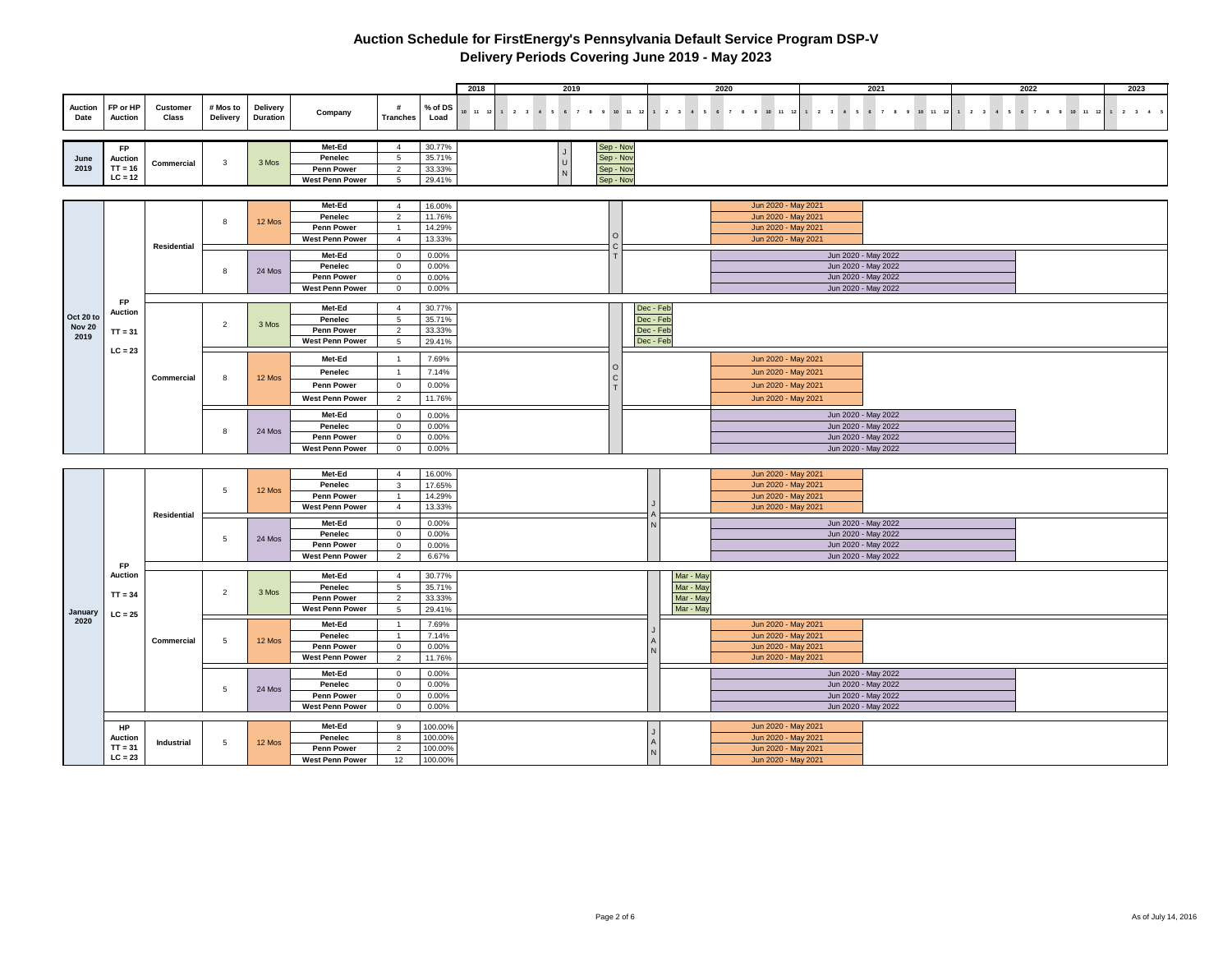|                                    |                                                       |                    |                      |                                    |                                                                  |                                                           |                                          | 2018<br>2019                                 |                                                  |                                     |                                                  | 2020                                                                                     |                                            | 2021                                                                                     | 2022                       | 2023                                    |
|------------------------------------|-------------------------------------------------------|--------------------|----------------------|------------------------------------|------------------------------------------------------------------|-----------------------------------------------------------|------------------------------------------|----------------------------------------------|--------------------------------------------------|-------------------------------------|--------------------------------------------------|------------------------------------------------------------------------------------------|--------------------------------------------|------------------------------------------------------------------------------------------|----------------------------|-----------------------------------------|
| Auction<br>Date                    | FP or HP<br><b>Auction</b>                            | Customer<br>Class  | # Mos to<br>Delivery | <b>Delivery</b><br><b>Duration</b> | Company                                                          | #<br><b>Tranches</b>                                      | % of DS<br>Load                          | $10$ $11$ $12$<br>1 2 3 4 5 6 7 8 9 10 11 12 |                                                  |                                     |                                                  | 1 2 3 4 5 6 7 8 9 10 11 12                                                               |                                            | 1 2 3 4 5 6 7 8 9 10 11 12                                                               | 1 2 3 4 5 6 7 8 9 10 11 12 | $1 \qquad 2 \qquad 3 \qquad 4 \qquad 5$ |
| June<br>2019                       | <b>FP</b><br><b>Auction</b><br>$TT = 16$<br>$LC = 12$ | Commercial         | $\mathbf{3}$         | 3 Mos                              | Met-Ed<br>Penelec<br><b>Penn Power</b><br><b>West Penn Power</b> | $\overline{4}$<br>5<br>2<br>5                             | 30.77%<br>35.71%<br>33.33%<br>29.41%     |                                              | Sep - Nov<br>Sep - Nov<br>Sep - Nov<br>Sep - Nov |                                     |                                                  |                                                                                          |                                            |                                                                                          |                            |                                         |
|                                    |                                                       |                    |                      |                                    |                                                                  |                                                           |                                          |                                              |                                                  |                                     |                                                  |                                                                                          |                                            |                                                                                          |                            |                                         |
|                                    |                                                       |                    | 8                    | 12 Mos                             | Met-Ed<br>Penelec<br>Penn Power<br><b>West Penn Power</b>        | $\overline{4}$<br>$\overline{2}$<br>$\overline{4}$        | 16.00%<br>11.76%<br>14.29%<br>13.33%     |                                              |                                                  |                                     |                                                  | Jun 2020 - May 2021<br>Jun 2020 - May 2021<br>Jun 2020 - May 2021<br>Jun 2020 - May 2021 |                                            |                                                                                          |                            |                                         |
|                                    |                                                       | Residential        | $\boldsymbol{8}$     | 24 Mos                             | Met-Ed<br>Penelec<br>Penn Power                                  | $\mathbf 0$<br>$\mathbf 0$<br>$\mathbf 0$                 | 0.00%<br>0.00%<br>0.00%                  |                                              | C                                                |                                     |                                                  |                                                                                          |                                            | Jun 2020 - May 2022<br>Jun 2020 - May 2022<br>Jun 2020 - May 2022                        |                            |                                         |
|                                    |                                                       |                    |                      |                                    | <b>West Penn Power</b>                                           | $\mathbf 0$                                               | $0.00\%$                                 |                                              |                                                  |                                     |                                                  |                                                                                          | Jun 2020 - May 2022                        |                                                                                          |                            |                                         |
| Oct 20 to<br><b>Nov 20</b><br>2019 | <b>FP</b><br><b>Auction</b><br>$TT = 31$              |                    | $\overline{2}$       | 3 Mos                              | Met-Ed<br>Penelec<br><b>Penn Power</b>                           | $\overline{4}$<br>5<br>$\overline{2}$                     | 30.77%<br>35.71%<br>33.33%               |                                              |                                                  | Dec - Feb<br>Dec - Feb<br>Dec - Feb |                                                  |                                                                                          |                                            |                                                                                          |                            |                                         |
|                                    | $LC = 23$                                             |                    |                      |                                    | <b>West Penn Power</b><br>Met-Ed<br>Penelec                      | 5<br>$\overline{1}$<br>$\overline{1}$                     | 29.41%<br>7.69%<br>7.14%                 |                                              | $\Omega$                                         | Dec - Feb                           |                                                  | Jun 2020 - May 2021<br>Jun 2020 - May 2021                                               |                                            |                                                                                          |                            |                                         |
|                                    |                                                       | Commercial         | 8                    | 12 Mos                             | Penn Power<br><b>West Penn Power</b>                             | $\overline{0}$<br>$\overline{2}$                          | 0.00%<br>11.76%                          |                                              | $\mathsf{C}$                                     |                                     |                                                  | Jun 2020 - May 2021<br>Jun 2020 - May 2021                                               |                                            |                                                                                          |                            |                                         |
|                                    |                                                       |                    | 8                    | 24 Mos                             | Met-Ed<br>Penelec<br><b>Penn Power</b><br><b>West Penn Power</b> | $\mathbf 0$<br>$\mathbf{0}$<br>$\Omega$<br>$\overline{0}$ | 0.00%<br>0.00%<br>0.00%<br>0.00%         |                                              |                                                  |                                     |                                                  |                                                                                          |                                            | Jun 2020 - May 2022<br>Jun 2020 - May 2022<br>Jun 2020 - May 2022<br>Jun 2020 - May 2022 |                            |                                         |
|                                    |                                                       |                    |                      |                                    |                                                                  |                                                           |                                          |                                              |                                                  |                                     |                                                  |                                                                                          |                                            |                                                                                          |                            |                                         |
|                                    |                                                       |                    |                      |                                    | Met-Ed<br>Penelec                                                | $\overline{4}$<br>$\overline{3}$                          | 16.00%<br>17.65%                         |                                              |                                                  |                                     |                                                  | Jun 2020 - May 2021<br>Jun 2020 - May 2021                                               |                                            |                                                                                          |                            |                                         |
|                                    |                                                       | <b>Residential</b> | $5\phantom{.0}$      | 12 Mos                             | <b>Penn Power</b><br><b>West Penn Power</b>                      | $\overline{1}$<br>$\overline{4}$                          | 14.29%<br>13.33%                         |                                              |                                                  |                                     |                                                  | Jun 2020 - May 2021<br>Jun 2020 - May 2021                                               |                                            |                                                                                          |                            |                                         |
|                                    |                                                       |                    | 5                    | 24 Mos                             | Met-Ed<br>Penelec<br>Penn Power<br><b>West Penn Power</b>        | $\mathbf 0$<br>$\mathbf 0$<br>$\mathbf 0$<br>2            | 0.00%<br>$0.00\%$<br>0.00%<br>6.67%      |                                              |                                                  |                                     |                                                  |                                                                                          | Jun 2020 - May 2022                        | Jun 2020 - May 2022<br>Jun 2020 - May 2022<br>Jun 2020 - May 2022                        |                            |                                         |
| January                            | <b>FP</b><br><b>Auction</b><br>$TT = 34$<br>$LC = 25$ |                    | $\overline{2}$       | 3 Mos                              | Met-Ed<br>Penelec<br>Penn Power<br><b>West Penn Power</b>        | $\overline{4}$<br>5<br>$\overline{2}$<br>$5\phantom{.0}$  | 30.77%<br>35.71%<br>33.33%<br>29.41%     |                                              |                                                  |                                     | Mar - May<br>Mar - May<br>Mar - May<br>Mar - May |                                                                                          |                                            |                                                                                          |                            |                                         |
| 2020                               |                                                       | Commercial         | 5                    | 12 Mos                             | Met-Ed<br>Penelec<br>Penn Power<br><b>West Penn Power</b>        | $\mathbf 0$<br>$\overline{2}$                             | 7.69%<br>7.14%<br>0.00%<br>11.76%        |                                              |                                                  |                                     |                                                  | Jun 2020 - May 2021<br>Jun 2020 - May 2021<br>Jun 2020 - May 2021<br>Jun 2020 - May 2021 |                                            |                                                                                          |                            |                                         |
|                                    |                                                       |                    | 5                    | 24 Mos                             | Met-Ed<br>Penelec<br>Penn Power<br><b>West Penn Power</b>        | $\mathbf 0$<br>$\mathbf 0$<br>$\mathbf 0$<br>$\mathbf 0$  | 0.00%<br>0.00%<br>0.00%<br>$0.00\%$      |                                              |                                                  |                                     |                                                  |                                                                                          | Jun 2020 - May 2022<br>Jun 2020 - May 2022 | Jun 2020 - May 2022<br>Jun 2020 - May 2022                                               |                            |                                         |
|                                    | HP<br><b>Auction</b><br>$TT = 31$<br>$LC = 23$        | <b>Industrial</b>  | $5\phantom{.0}$      | 12 Mos                             | Met-Ed<br>Penelec<br>Penn Power<br><b>West Penn Power</b>        | 9<br>8<br>$\overline{2}$<br>12                            | 100.00%<br>100.00%<br>100.00%<br>100.00% |                                              |                                                  |                                     |                                                  | Jun 2020 - May 2021<br>Jun 2020 - May 2021<br>Jun 2020 - May 2021<br>Jun 2020 - May 2021 |                                            |                                                                                          |                            |                                         |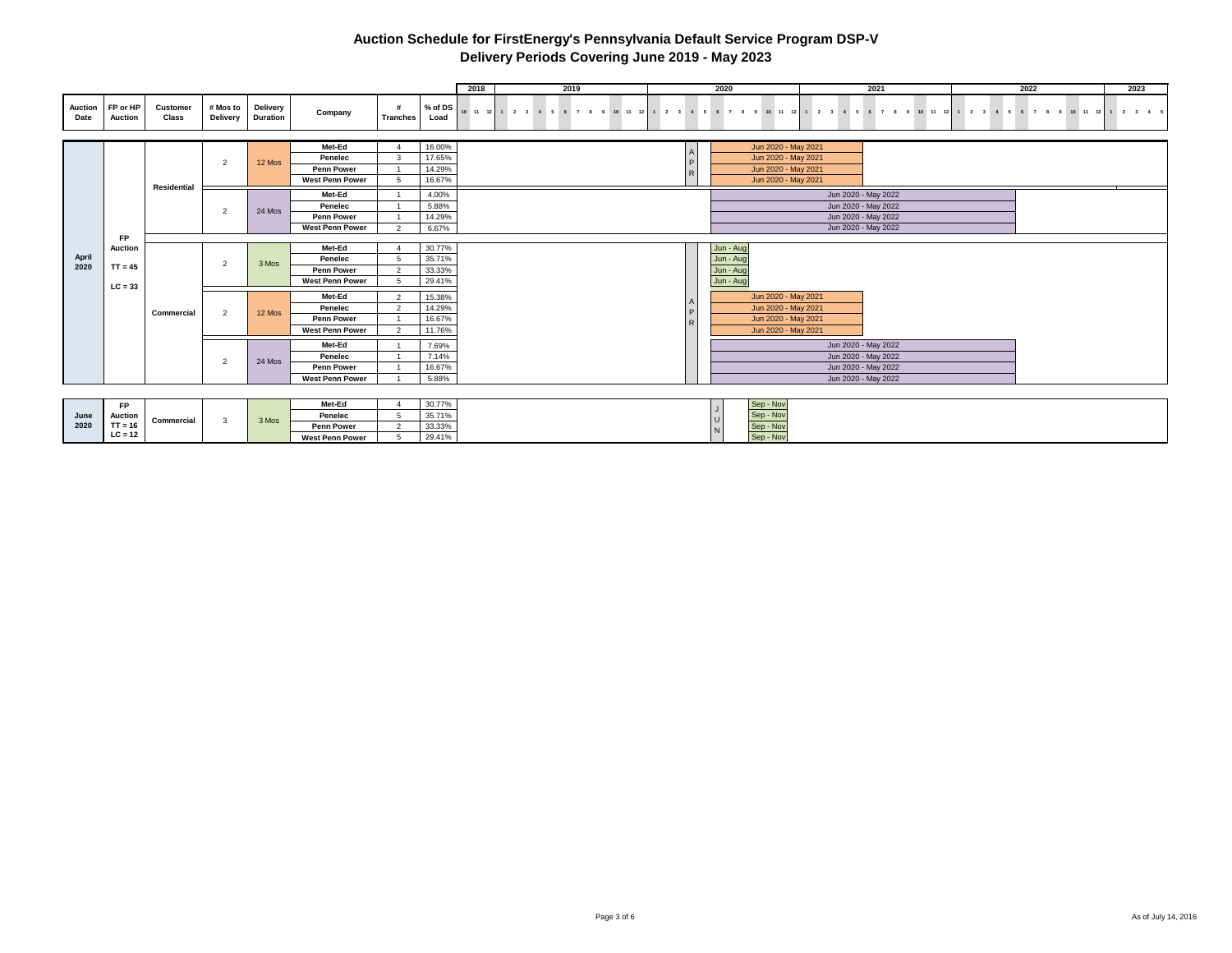|                        |                            |                   |                         |                             |                                      |                |                 | 2018 | 2019                                                                                                                           |                  | 2020 |                     | 2021                | 2022 | 2023 |
|------------------------|----------------------------|-------------------|-------------------------|-----------------------------|--------------------------------------|----------------|-----------------|------|--------------------------------------------------------------------------------------------------------------------------------|------------------|------|---------------------|---------------------|------|------|
| <b>Auction</b><br>Date | FP or HP<br><b>Auction</b> | Customer<br>Class | # Mos to<br>Delivery    | Delivery<br><b>Duration</b> | Company                              | Tranches       | % of DS<br>Load |      | 10 11 12 1 2 3 4 5 6 7 8 9 10 11 12 1 2 3 4 5 6 7 8 9 10 11 12 1 2 3 4 5 6 7 8 9 10 11 12 1 2 3 4 5 6 7 8 9 10 11 12 1 2 3 4 5 |                  |      |                     |                     |      |      |
|                        |                            |                   |                         |                             |                                      |                |                 |      |                                                                                                                                |                  |      |                     |                     |      |      |
|                        |                            |                   |                         |                             | Met-Ed                               |                | 16.00%          |      |                                                                                                                                |                  |      | Jun 2020 - May 2021 |                     |      |      |
|                        |                            |                   | $\overline{2}$          | 12 Mos                      | Penelec                              | $\mathbf{B}$   | 17.65%          |      |                                                                                                                                | D                |      | Jun 2020 - May 2021 |                     |      |      |
|                        |                            |                   |                         |                             | <b>Penn Power</b>                    |                | 14.29%          |      |                                                                                                                                | $\triangleright$ |      | Jun 2020 - May 2021 |                     |      |      |
|                        |                            | Residential       |                         |                             | <b>West Penn Power</b>               | -5             | 16.67%          |      |                                                                                                                                |                  |      | Jun 2020 - May 2021 |                     |      |      |
|                        |                            |                   |                         |                             | Met-Ed                               |                | 4.00%           |      |                                                                                                                                |                  |      |                     | Jun 2020 - May 2022 |      |      |
|                        |                            |                   | $\overline{2}$          | 24 Mos                      | Penelec                              |                | 5.88%           |      |                                                                                                                                |                  |      |                     | Jun 2020 - May 2022 |      |      |
|                        |                            |                   |                         |                             | <b>Penn Power</b>                    |                | 14.29%          |      |                                                                                                                                |                  |      |                     | Jun 2020 - May 2022 |      |      |
|                        |                            |                   |                         |                             | <b>West Penn Power</b>               |                | 6.67%           |      |                                                                                                                                |                  |      |                     | Jun 2020 - May 2022 |      |      |
|                        | <b>FP</b>                  |                   |                         |                             |                                      |                |                 |      |                                                                                                                                |                  |      |                     |                     |      |      |
|                        | <b>Auction</b>             |                   |                         |                             | Met-Ed                               |                | 30.77%          |      |                                                                                                                                |                  |      | Jun - Aug           |                     |      |      |
| April<br>2020          | $TT = 45$                  |                   | $\overline{2}$          | 3 Mos                       | Penelec                              | $\sim$         | 35.71%          |      |                                                                                                                                |                  |      | Jun - Aug           |                     |      |      |
|                        |                            |                   |                         |                             | Penn Power<br><b>West Penn Power</b> |                | 33.33%          |      |                                                                                                                                |                  |      | Jun - Aug           |                     |      |      |
|                        | $LC = 33$                  |                   |                         |                             |                                      |                | 29.41%          |      |                                                                                                                                |                  |      | Jun - Aug           |                     |      |      |
|                        |                            |                   |                         |                             | Met-Ed                               | $\overline{2}$ | 15.38%          |      |                                                                                                                                |                  |      | Jun 2020 - May 2021 |                     |      |      |
|                        |                            | Commercial        | $\overline{2}$          | 12 Mos                      | Penelec                              | $\overline{2}$ | 14.29%          |      |                                                                                                                                |                  |      | Jun 2020 - May 2021 |                     |      |      |
|                        |                            |                   |                         |                             | Penn Power                           |                | 16.67%          |      |                                                                                                                                |                  |      | Jun 2020 - May 2021 |                     |      |      |
|                        |                            |                   |                         |                             | <b>West Penn Power</b>               | $\sim$         | 11.76%          |      |                                                                                                                                |                  |      | Jun 2020 - May 2021 |                     |      |      |
|                        |                            |                   |                         |                             | Met-Ed                               |                | 7.69%           |      |                                                                                                                                |                  |      |                     | Jun 2020 - May 2022 |      |      |
|                        |                            |                   |                         |                             | Penelec                              |                | 7.14%           |      |                                                                                                                                |                  |      |                     | Jun 2020 - May 2022 |      |      |
|                        |                            |                   | $\overline{2}$          | 24 Mos                      | <b>Penn Power</b>                    |                | 16.67%          |      |                                                                                                                                |                  |      |                     | Jun 2020 - May 2022 |      |      |
|                        |                            |                   |                         |                             | <b>West Penn Power</b>               |                | 5.88%           |      |                                                                                                                                |                  |      |                     | Jun 2020 - May 2022 |      |      |
|                        |                            |                   |                         |                             |                                      |                |                 |      |                                                                                                                                |                  |      |                     |                     |      |      |
|                        | FP                         |                   |                         |                             | Met-Ed                               |                | 30.77%          |      |                                                                                                                                |                  |      | Sep - Nov           |                     |      |      |
| June                   | <b>Auction</b>             |                   |                         |                             | Penelec                              |                | 35.71%          |      |                                                                                                                                |                  |      | Sep - Nov           |                     |      |      |
| 2020                   | $TT = 16$                  | Commercial        | $\overline{\mathbf{3}}$ | 3 Mos                       | Penn Power                           | $\overline{2}$ | 33.33%          |      |                                                                                                                                |                  |      | Sep - Nov           |                     |      |      |
|                        | $LC = 12$                  |                   |                         |                             | <b>West Penn Power</b>               | 5              | 29 41%          |      |                                                                                                                                |                  |      | Sep - Nov           |                     |      |      |

**Penn Power 2 33.33% Sep - Nov Sep - Nov Sep - Nov Sep - Nov Sep - Nov Sep - Nov Sep - Nov Sep - Nov Sep - Nov**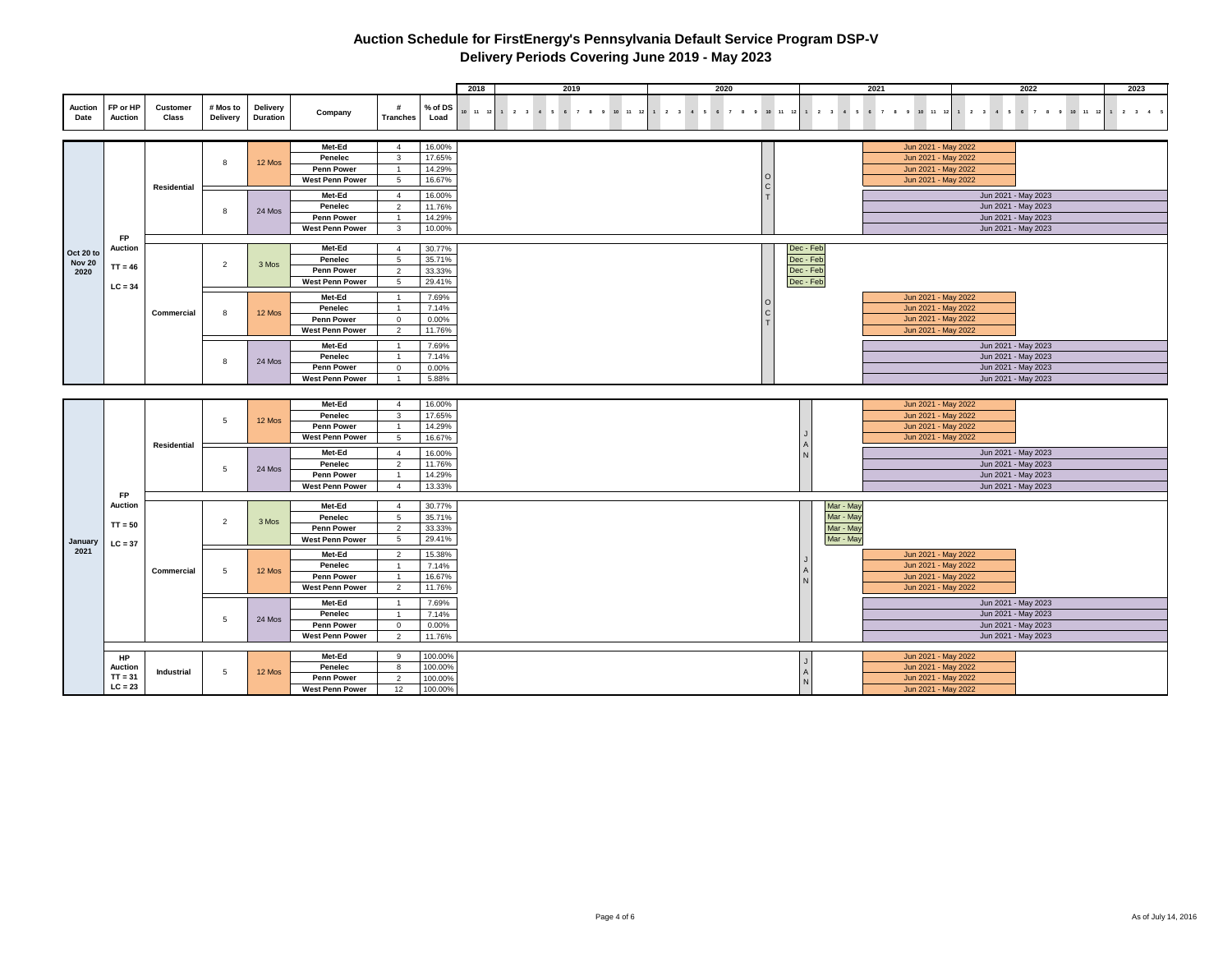|                       |                             |                                 |                      |                             |                                      |                                  |                  | 2018 | 2019                                                           | 2020 |           |                        | 2021                                                            |                                            | 2022 | 2023 |
|-----------------------|-----------------------------|---------------------------------|----------------------|-----------------------------|--------------------------------------|----------------------------------|------------------|------|----------------------------------------------------------------|------|-----------|------------------------|-----------------------------------------------------------------|--------------------------------------------|------|------|
|                       |                             |                                 |                      |                             |                                      |                                  |                  |      |                                                                |      |           |                        |                                                                 |                                            |      |      |
| Auction<br>Date       | FP or HP<br><b>Auction</b>  | <b>Customer</b><br><b>Class</b> | # Mos to<br>Delivery | Delivery<br><b>Duration</b> | Company                              | #<br><b>Tranches</b>             | % of DS<br>Load  |      | 10 11 12 1 2 3 4 5 6 7 8 9 10 11 12 1 2 3 4 5 6 7 8 9 10 11 12 |      |           |                        | 1 2 3 4 5 6 7 8 9 10 11 12 1 2 3 4 5 6 7 8 9 10 11 12 1 2 3 4 5 |                                            |      |      |
|                       |                             |                                 |                      |                             |                                      |                                  |                  |      |                                                                |      |           |                        |                                                                 |                                            |      |      |
|                       |                             |                                 |                      |                             |                                      |                                  |                  |      |                                                                |      |           |                        |                                                                 |                                            |      |      |
|                       |                             |                                 |                      |                             | Met-Ed                               | $\overline{4}$                   | 16.00%           |      |                                                                |      |           |                        | Jun 2021 - May 2022                                             |                                            |      |      |
|                       |                             |                                 | 8                    | 12 Mos                      | Penelec                              | 3                                | 17.65%           |      |                                                                |      |           |                        | Jun 2021 - May 2022                                             |                                            |      |      |
|                       |                             |                                 |                      |                             | <b>Penn Power</b>                    | $\overline{1}$                   | 14.29%           |      |                                                                |      |           |                        | Jun 2021 - May 2022                                             |                                            |      |      |
|                       |                             | Residential                     |                      |                             | <b>West Penn Power</b>               | $5\overline{5}$                  | 16.67%           |      |                                                                |      |           |                        | Jun 2021 - May 2022                                             |                                            |      |      |
|                       |                             |                                 |                      |                             | Met-Ed                               | $\overline{4}$                   | 16.00%           |      |                                                                |      |           |                        |                                                                 | Jun 2021 - May 2023                        |      |      |
|                       |                             |                                 | 8                    | 24 Mos                      | Penelec                              | $\overline{2}$                   | 11.76%           |      |                                                                |      |           |                        |                                                                 | Jun 2021 - May 2023                        |      |      |
|                       |                             |                                 |                      |                             | <b>Penn Power</b>                    | $\overline{1}$                   | 14.29%           |      |                                                                |      |           |                        |                                                                 | Jun 2021 - May 2023                        |      |      |
|                       |                             |                                 |                      |                             | <b>West Penn Power</b>               | $\mathbf{3}$                     | 10.00%           |      |                                                                |      |           |                        |                                                                 | Jun 2021 - May 2023                        |      |      |
|                       | <b>FP</b><br><b>Auction</b> |                                 |                      |                             | Met-Ed                               | $\overline{4}$                   | 30.77%           |      |                                                                |      | Dec - Feb |                        |                                                                 |                                            |      |      |
| Oct 20 to             |                             |                                 |                      |                             | Penelec                              | 5                                | 35.71%           |      |                                                                |      | Dec - Feb |                        |                                                                 |                                            |      |      |
| <b>Nov 20</b><br>2020 | $TT = 46$                   |                                 | $\overline{2}$       | 3 Mos                       | Penn Power                           | $\overline{2}$                   | 33.33%           |      |                                                                |      | Dec - Feb |                        |                                                                 |                                            |      |      |
|                       |                             |                                 |                      |                             | <b>West Penn Power</b>               | 5                                | 29.41%           |      |                                                                |      | Dec - Feb |                        |                                                                 |                                            |      |      |
|                       | $LC = 34$                   |                                 |                      |                             |                                      |                                  |                  |      |                                                                |      |           |                        |                                                                 |                                            |      |      |
|                       |                             |                                 |                      |                             | Met-Ed<br>Penelec                    | $\overline{1}$                   | 7.69%<br>7.14%   |      |                                                                |      |           |                        | Jun 2021 - May 2022<br>Jun 2021 - May 2022                      |                                            |      |      |
|                       |                             | Commercial                      | $\mathbf{g}$         | 12 Mos                      | <b>Penn Power</b>                    | $\mathbf{0}$                     | 0.00%            |      |                                                                |      |           |                        | Jun 2021 - May 2022                                             |                                            |      |      |
|                       |                             |                                 |                      |                             | <b>West Penn Power</b>               | $\overline{2}$                   | 11.76%           |      |                                                                |      |           |                        | Jun 2021 - May 2022                                             |                                            |      |      |
|                       |                             |                                 |                      |                             | Met-Ed                               |                                  |                  |      |                                                                |      |           |                        |                                                                 |                                            |      |      |
|                       |                             |                                 |                      |                             | Penelec                              | $\overline{1}$<br>-1             | 7.69%<br>7.14%   |      |                                                                |      |           |                        |                                                                 | Jun 2021 - May 2023<br>Jun 2021 - May 2023 |      |      |
|                       |                             |                                 | 8                    | 24 Mos                      | <b>Penn Power</b>                    | $^{\circ}$                       | 0.00%            |      |                                                                |      |           |                        |                                                                 | Jun 2021 - May 2023                        |      |      |
|                       |                             |                                 |                      |                             | West Penn Power                      | $\overline{1}$                   | 5.88%            |      |                                                                |      |           |                        |                                                                 | Jun 2021 - May 2023                        |      |      |
|                       |                             |                                 |                      |                             |                                      |                                  |                  |      |                                                                |      |           |                        |                                                                 |                                            |      |      |
|                       |                             |                                 |                      |                             | Met-Ed                               | $\overline{4}$                   | 16.00%           |      |                                                                |      |           |                        | Jun 2021 - May 2022                                             |                                            |      |      |
|                       |                             |                                 |                      |                             | Penelec                              | $\mathbf{3}$                     | 17.65%           |      |                                                                |      |           |                        | Jun 2021 - May 2022                                             |                                            |      |      |
|                       |                             |                                 | $5\phantom{.0}$      | 12 Mos                      | Penn Power                           |                                  | 14.29%           |      |                                                                |      |           |                        | Jun 2021 - May 2022                                             |                                            |      |      |
|                       |                             |                                 |                      |                             | <b>West Penn Power</b>               | 5                                | 16.67%           |      |                                                                |      |           |                        | Jun 2021 - May 2022                                             |                                            |      |      |
|                       |                             | Residential                     |                      |                             | Met-Ed                               | $\overline{4}$                   | 16.00%           |      |                                                                |      |           |                        |                                                                 | Jun 2021 - May 2023                        |      |      |
|                       |                             |                                 |                      |                             | Penelec                              | 2                                | 11.76%           |      |                                                                |      |           |                        |                                                                 | Jun 2021 - May 2023                        |      |      |
|                       |                             |                                 | 5                    | 24 Mos                      | Penn Power                           | $\overline{1}$                   | 14.29%           |      |                                                                |      |           |                        |                                                                 | Jun 2021 - May 2023                        |      |      |
|                       |                             |                                 |                      |                             | <b>West Penn Power</b>               | $\overline{4}$                   | 13.33%           |      |                                                                |      |           |                        |                                                                 | Jun 2021 - May 2023                        |      |      |
|                       | FP                          |                                 |                      |                             |                                      |                                  |                  |      |                                                                |      |           |                        |                                                                 |                                            |      |      |
|                       | Auction                     |                                 |                      |                             | Met-Ed                               | $\overline{4}$                   | 30.77%<br>35.71% |      |                                                                |      |           | Mar - May              |                                                                 |                                            |      |      |
|                       | $TT = 50$                   |                                 | $\overline{2}$       | 3 Mos                       | Penelec<br><b>Penn Power</b>         | 5<br>2                           | 33.33%           |      |                                                                |      |           | Mar - May<br>Mar - May |                                                                 |                                            |      |      |
|                       |                             |                                 |                      |                             | <b>West Penn Power</b>               | $\,$ 5 $\,$                      | 29.41%           |      |                                                                |      |           | Mar - May              |                                                                 |                                            |      |      |
| January<br>2021       | $LC = 37$                   |                                 |                      |                             |                                      |                                  |                  |      |                                                                |      |           |                        |                                                                 |                                            |      |      |
|                       |                             |                                 |                      |                             | Met-Ed                               | $\overline{2}$                   | 15.38%           |      |                                                                |      |           |                        | Jun 2021 - May 2022                                             |                                            |      |      |
|                       |                             | Commercial                      | 5                    | 12 Mos                      | Penelec<br><b>Penn Power</b>         | $\overline{1}$                   | 7.14%<br>16.67%  |      |                                                                |      |           |                        | Jun 2021 - May 2022<br>Jun 2021 - May 2022                      |                                            |      |      |
|                       |                             |                                 |                      |                             | <b>West Penn Power</b>               | $\overline{2}$                   | 11.76%           |      |                                                                |      |           |                        | Jun 2021 - May 2022                                             |                                            |      |      |
|                       |                             |                                 |                      |                             |                                      |                                  |                  |      |                                                                |      |           |                        |                                                                 |                                            |      |      |
|                       |                             |                                 |                      |                             | Met-Ed                               | $\overline{1}$                   | 7.69%            |      |                                                                |      |           |                        |                                                                 | Jun 2021 - May 2023                        |      |      |
|                       |                             |                                 | 5                    | 24 Mos                      | Penelec                              | $\overline{1}$                   | 7.14%            |      |                                                                |      |           |                        |                                                                 | Jun 2021 - May 2023                        |      |      |
|                       |                             |                                 |                      |                             | Penn Power<br><b>West Penn Power</b> | $\overline{0}$<br>$\overline{2}$ | 0.00%<br>11.76%  |      |                                                                |      |           |                        |                                                                 | Jun 2021 - May 2023<br>Jun 2021 - May 2023 |      |      |
|                       |                             |                                 |                      |                             |                                      |                                  |                  |      |                                                                |      |           |                        |                                                                 |                                            |      |      |
|                       | HP                          |                                 |                      |                             | Met-Ed                               | 9                                | 100.00%          |      |                                                                |      |           |                        | Jun 2021 - May 2022                                             |                                            |      |      |
|                       | <b>Auction</b>              | Industrial                      | 5                    | 12 Mos                      | Penelec                              | 8                                | 100.00%          |      |                                                                |      |           |                        | Jun 2021 - May 2022                                             |                                            |      |      |
|                       | $TT = 31$                   |                                 |                      |                             | <b>Penn Power</b>                    | 2                                | 100.00%          |      |                                                                |      |           |                        | Jun 2021 - May 2022                                             |                                            |      |      |
|                       | $LC = 23$                   |                                 |                      |                             | West Penn Power                      | 12                               | 100.00%          |      |                                                                |      |           |                        | Jun 2021 - May 2022                                             |                                            |      |      |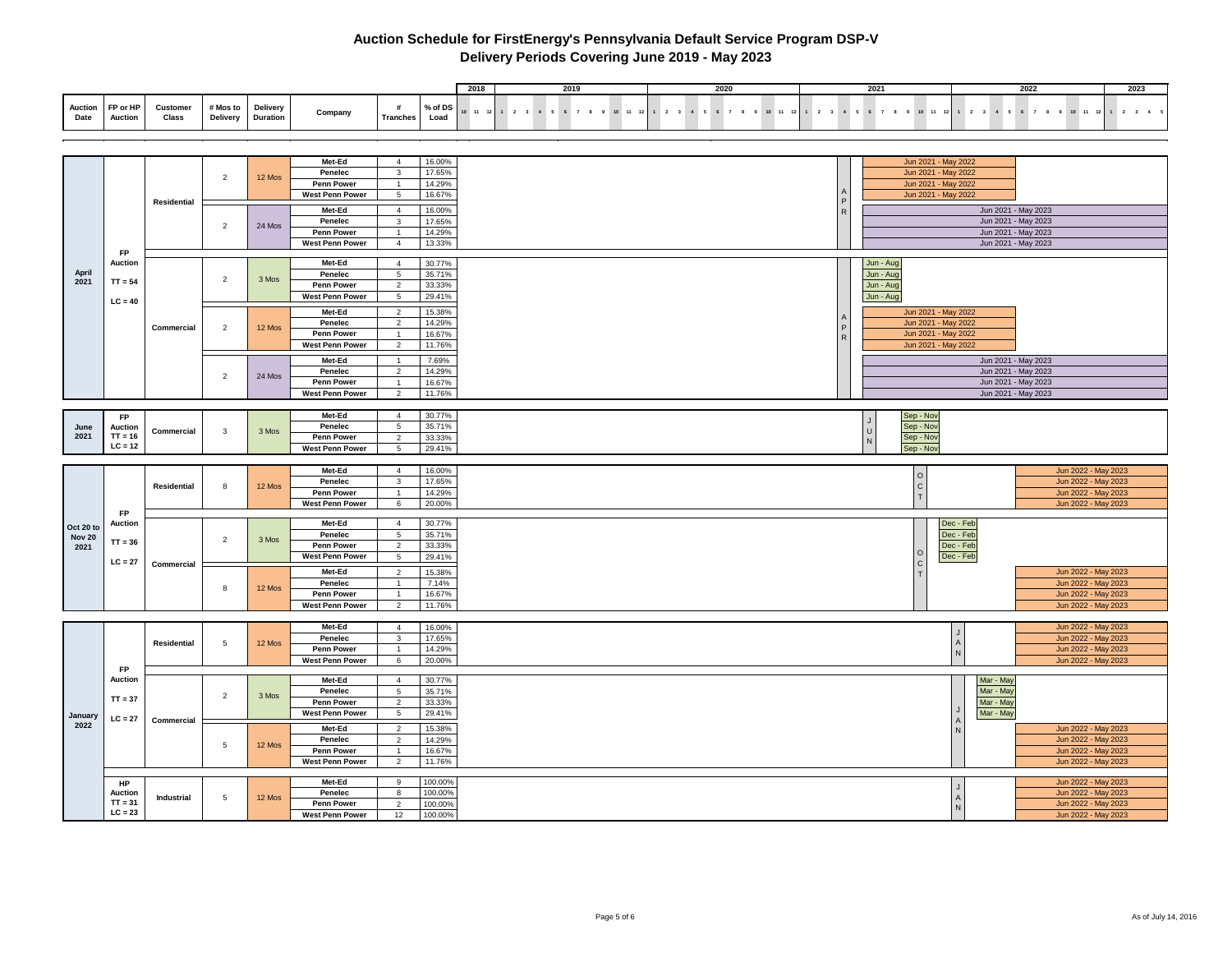|      |                             |                   |                   |                   |         |               |                           | 2018 | 2019   | 202 | 2022                                                                                                                | 2023 |
|------|-----------------------------|-------------------|-------------------|-------------------|---------|---------------|---------------------------|------|--------|-----|---------------------------------------------------------------------------------------------------------------------|------|
| Date | Auction FP or HP<br>Auction | Customer<br>Class | Delivery Duration | # Mos to Delivery | Company | Tranches Load | % of DS $\frac{1}{10}$ 11 |      | $12$ 1 |     | 2 3 4 5 6 7 8 9 10 11 12 1 2 3 4 5 6 7 8 9 10 11 12 1 2 3 4 5 6 7 8 9 10 11 12 1 2 3 4 5 6 7 8 9 10 11 12 1 2 3 4 5 |      |

|               |                             |                    |                 |        | Met-Ed                 | $\overline{4}$                    | 16.00%           | Jun 2021 - May 2022                      |                     |
|---------------|-----------------------------|--------------------|-----------------|--------|------------------------|-----------------------------------|------------------|------------------------------------------|---------------------|
|               |                             |                    | 2               | 12 Mos | Penelec                | $\mathbf{3}$                      | 17.65%           | Jun 2021 - May 2022                      |                     |
|               |                             |                    |                 |        | <b>Penn Power</b>      | $\overline{1}$                    | 14.29%           | Jun 2021 - May 2022                      |                     |
|               |                             | <b>Residential</b> |                 |        | <b>West Penn Power</b> | 5                                 | 16.67%           | Jun 2021 - May 2022                      |                     |
|               |                             |                    |                 |        | Met-Ed                 | $\overline{4}$                    | 16.00%           | R                                        | Jun 2021 - May 2023 |
|               |                             |                    |                 |        | Penelec                | $\mathbf{3}$                      | 17.65%           |                                          | Jun 2021 - May 2023 |
|               |                             |                    | $\overline{2}$  | 24 Mos | <b>Penn Power</b>      | $\mathbf{1}$                      | 14.29%           |                                          | Jun 2021 - May 2023 |
|               |                             |                    |                 |        | <b>West Penn Power</b> | $\overline{4}$                    | 13.33%           |                                          | Jun 2021 - May 2023 |
|               | <b>FP</b>                   |                    |                 |        |                        |                                   |                  |                                          |                     |
|               | <b>Auction</b>              |                    |                 |        | Met-Ed                 | $\overline{4}$                    | 30.77%           | Jun - Aug                                |                     |
| April         |                             |                    | $\overline{2}$  |        | Penelec                | $5\phantom{.0}$                   | 35.71%           | Jun - Aug                                |                     |
| 2021          | $TT = 54$                   |                    |                 | 3 Mos  | Penn Power             | $\overline{2}$                    | 33.33%           | Jun - Aug                                |                     |
|               |                             |                    |                 |        | <b>West Penn Power</b> | $5\overline{5}$                   | 29.41%           | Jun - Aug                                |                     |
|               | $LC = 40$                   |                    |                 |        | Met-Ed                 | 2                                 | 15.38%           | Jun 2021 - May 2022                      |                     |
|               |                             |                    |                 |        | Penelec                | $\overline{2}$                    | 14.29%           | Jun 2021 - May 2022                      |                     |
|               |                             | Commercial         | $\overline{2}$  | 12 Mos | Penn Power             | $\overline{1}$                    | 16.67%           | Jun 2021 - May 2022                      |                     |
|               |                             |                    |                 |        | <b>West Penn Power</b> | $\overline{2}$                    | 11.76%           | Jun 2021 - May 2022                      |                     |
|               |                             |                    |                 |        |                        |                                   |                  |                                          |                     |
|               |                             |                    |                 |        | Met-Ed                 | $\overline{1}$                    | 7.69%            |                                          | Jun 2021 - May 2023 |
|               |                             |                    | $\overline{2}$  | 24 Mos | Penelec                | 2                                 | 14.29%           |                                          | Jun 2021 - May 2023 |
|               |                             |                    |                 |        | <b>Penn Power</b>      | $\overline{1}$                    | 16.67%           |                                          | Jun 2021 - May 2023 |
|               |                             |                    |                 |        | <b>West Penn Power</b> | 2                                 | 11.76%           |                                          | Jun 2021 - May 2023 |
|               |                             |                    |                 |        |                        |                                   |                  |                                          |                     |
|               | FP                          |                    |                 |        | Met-Ed                 | $\overline{4}$<br>$5\phantom{.0}$ | 30.77%<br>35.71% | Sep - Nov<br>$\overline{1}$<br>Sep - Nov |                     |
| June<br>2021  | <b>Auction</b><br>$TT = 16$ | Commercial         | $\mathbf{3}$    | 3 Mos  | Penelec                |                                   |                  | $\cup$                                   |                     |
|               | $LC = 12$                   |                    |                 |        | <b>Penn Power</b>      | $\overline{2}$<br>$5\overline{5}$ | 33.33%           | Sep - Nov<br>N                           |                     |
|               |                             |                    |                 |        | West Penn Power        |                                   | 29.41%           | Sep - Nov                                |                     |
|               |                             |                    |                 |        | Met-Ed                 | $\overline{4}$                    | 16.00%           |                                          | Jun 2022 - May 2023 |
|               |                             |                    |                 |        | Penelec                | $\mathbf{3}$                      | 17.65%           | $\circ$                                  | Jun 2022 - May 2023 |
|               |                             | Residential        | 8               | 12 Mos | Penn Power             | $\overline{1}$                    | 14.29%           | $\mathbf c$<br>$\mathbf{r}$              | Jun 2022 - May 2023 |
|               |                             |                    |                 |        | <b>West Penn Power</b> | 6                                 | 20.00%           |                                          | Jun 2022 - May 2023 |
|               | <b>FP</b>                   |                    |                 |        |                        |                                   |                  |                                          |                     |
| Oct 20 to     | <b>Auction</b>              |                    |                 |        | Met-Ed                 | $\overline{4}$                    | 30.77%           | Dec - Feb                                |                     |
| <b>Nov 20</b> |                             |                    | $\overline{2}$  | 3 Mos  | Penelec                | $5\phantom{.0}$                   | 35.71%           | Dec - Feb                                |                     |
| 2021          | $TT = 36$                   |                    |                 |        | Penn Power             | $\overline{2}$                    | 33.33%           | Dec - Feb                                |                     |
|               | $LC = 27$                   |                    |                 |        | <b>West Penn Power</b> | $5\phantom{.0}$                   | 29.41%           | Dec - Feb<br>$\mathsf{C}$                |                     |
|               |                             | Commercial         |                 |        | Met-Ed                 | $\overline{2}$                    | 15.38%           |                                          | Jun 2022 - May 2023 |
|               |                             |                    |                 |        | Penelec                | $\mathbf{1}$                      | 7.14%            |                                          | Jun 2022 - May 2023 |
|               |                             |                    | 8               | 12 Mos | Penn Power             | $\overline{1}$                    | 16.67%           |                                          | Jun 2022 - May 2023 |
|               |                             |                    |                 |        | <b>West Penn Power</b> | $\overline{2}$                    | 11.76%           |                                          | Jun 2022 - May 2023 |
|               |                             |                    |                 |        |                        |                                   |                  |                                          |                     |
|               |                             |                    |                 |        | Met-Ed                 | $\overline{4}$                    | 16.00%           |                                          | Jun 2022 - May 2023 |
|               |                             | <b>Residential</b> | 5               | 12 Mos | Penelec                | $\mathbf{3}$                      | 17.65%           | $\overline{A}$                           | Jun 2022 - May 2023 |
|               |                             |                    |                 |        | Penn Power             | $\overline{1}$                    | 14.29%           |                                          | Jun 2022 - May 2023 |
|               |                             |                    |                 |        | <b>West Penn Power</b> | $6\phantom{.}6$                   | 20.00%           |                                          | Jun 2022 - May 2023 |
|               | FP                          |                    |                 |        |                        |                                   |                  |                                          |                     |
|               | <b>Auction</b>              |                    |                 |        | Met-Ed                 | $\overline{4}$                    | 30.77%           |                                          | Mar - Ma            |
|               | $TT = 37$                   |                    | $\overline{2}$  | 3 Mos  | Penelec                | 5                                 | 35.71%           |                                          | Mar - May           |
|               |                             |                    |                 |        | Penn Power             | $\overline{2}$                    | 33.33%           |                                          | Mar - May           |
| January       | $LC = 27$                   | Commercial         |                 |        | <b>West Penn Power</b> | $5\overline{5}$                   | 29.41%           |                                          | Mar - May           |
| 2022          |                             |                    |                 |        | Met-Ed                 | $\overline{2}$                    | 15.38%           | $\overline{N}$                           | Jun 2022 - May 2023 |
|               |                             |                    | 5               | 12 Mos | Penelec                | $\overline{2}$                    | 14.29%           |                                          | Jun 2022 - May 2023 |
|               |                             |                    |                 |        | <b>Penn Power</b>      |                                   | 16.67%           |                                          | Jun 2022 - May 2023 |
|               |                             |                    |                 |        | <b>West Penn Power</b> | $\overline{2}$                    | 11.76%           |                                          | Jun 2022 - May 2023 |
|               |                             |                    |                 |        |                        |                                   |                  |                                          |                     |
|               | HP                          |                    |                 |        | Met-Ed                 | $\,9$                             | 100.00%          |                                          | Jun 2022 - May 2023 |
|               | <b>Auction</b><br>$TT = 31$ | Industrial         | $5\phantom{.0}$ | 12 Mos | Penelec                | 8                                 | 100.00%          | $\overline{A}$                           | Jun 2022 - May 2023 |
|               | $LC = 23$                   |                    |                 |        | <b>Penn Power</b>      | 2                                 | 100.00%          |                                          | Jun 2022 - May 2023 |
|               |                             |                    |                 |        | <b>West Penn Power</b> | 12                                | 100.00%          |                                          | Jun 2022 - May 2023 |